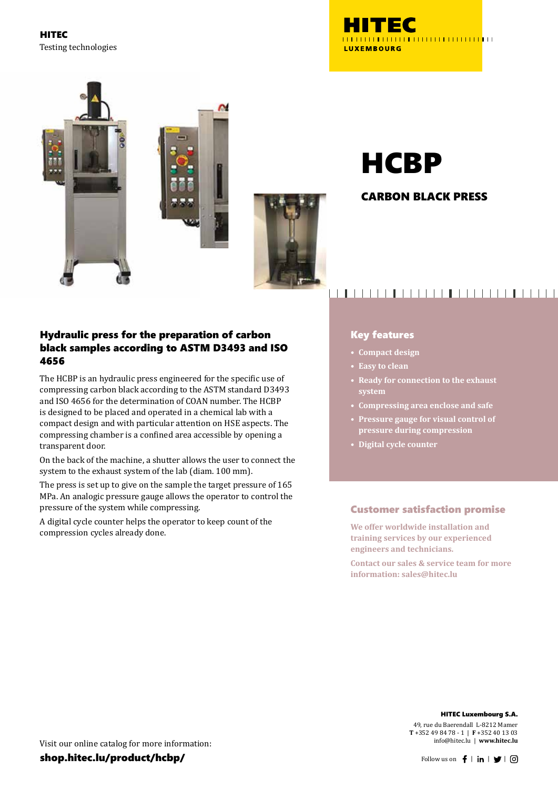HITEC Testing technologies







# **HCBP**

### CARBON BLACK PRESS

### Hydraulic press for the preparation of carbon black samples according to ASTM D3493 and ISO 4656

The HCBP is an hydraulic press engineered for the specific use of compressing carbon black according to the ASTM standard D3493 and ISO 4656 for the determination of COAN number. The HCBP is designed to be placed and operated in a chemical lab with a compact design and with particular attention on HSE aspects. The compressing chamber is a confined area accessible by opening a transparent door.

On the back of the machine, a shutter allows the user to connect the system to the exhaust system of the lab (diam. 100 mm).

The press is set up to give on the sample the target pressure of 165 MPa. An analogic pressure gauge allows the operator to control the pressure of the system while compressing.

A digital cycle counter helps the operator to keep count of the compression cycles already done.

# <u> 1908 - 1919 - 1919 - 1919 - 1919 - 1919 - 1919 - 1919 - 1919 - 1919 - 1919 - 1919 - 1919 - 1919 - 1919 - 19</u>

### Key features

- **• Compact design**
- **• Easy to clean**
- **• Ready for connection to the exhaust system**
- **• Compressing area enclose and safe**
- **• Pressure gauge for visual control of pressure during compression**
- **• Digital cycle counter**

### Customer satisfaction promise

**We offer worldwide installation and training services by our experienced engineers and technicians.**

**Contact our sales & service team for more information: sales@hitec.lu**

#### HITEC Luxembourg S.A.

49, rue du Baerendall L-8212 Mamer **T** +352 49 84 78 - 1 | **F** +352 40 13 03 info@hitec.lu | **www.hitec.lu**

Visit our online catalog for more information:

shop.hitec.lu/product/hcbp/